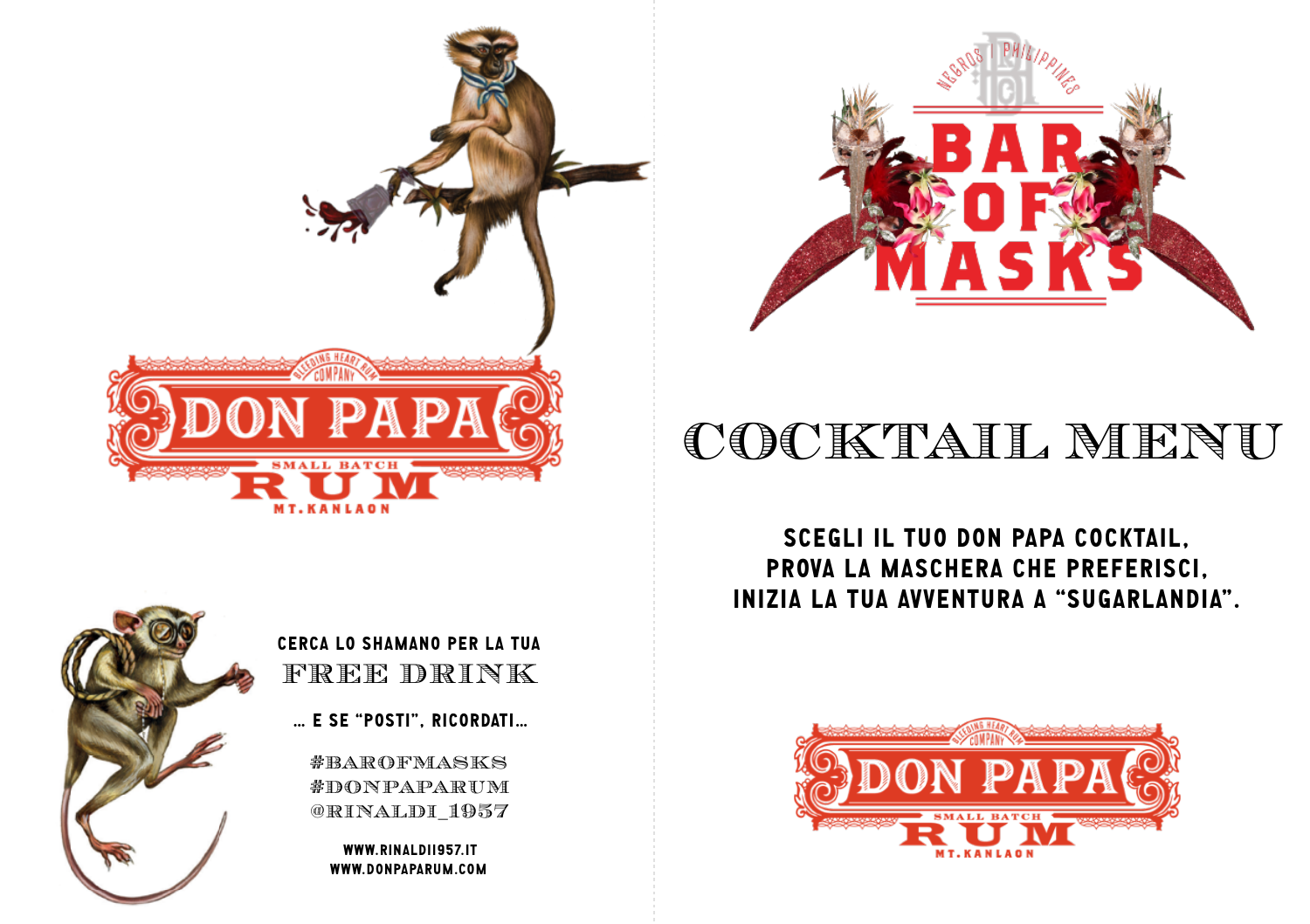



## cocktail menu

SCEGLI IL TUO DON PAPA COCKTAIL, PROVA LA MASCHERA CHE PREFERISCI, INIZIA LA TUA AVVENTURA A "SUGARLANDIA".



Cerca lo Shamano per la tua free drink

… e se "posti", ricordati…

#barofmasks #donpaparum @rinaldi\_1957

> www.rinaldi1957.it www.donpaparum.com